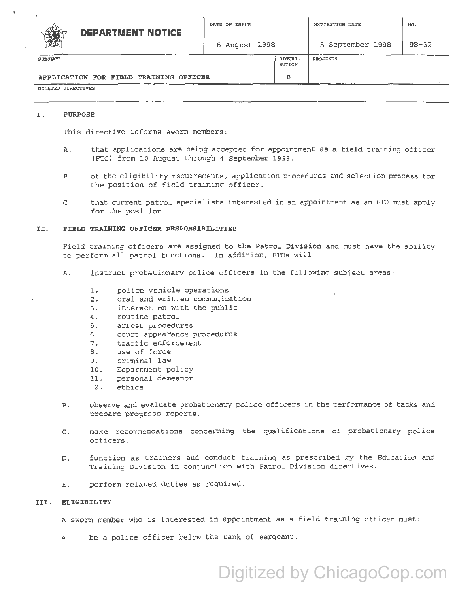|         | <b>DEPARTMENT NOTICE</b> | DATE OF ISSUE |                          | EXPIRATION DATE  | NO.       |
|---------|--------------------------|---------------|--------------------------|------------------|-----------|
| B       |                          | 6 August 1998 |                          | 5 September 1998 | $98 - 32$ |
| SUBJECT |                          |               | DISTRI-<br><b>BUTION</b> | <b>RESCINDS</b>  |           |

# APPLICATION FOR FIELD TRAINING OFFICER | B

#### RELATED DIRECTIVES

### I. PURPOSE

This directive informs sworn members:

- A. that applications are being accepted for appointment as a field training officer (FTO} from 10 August through 4 September 1998.
- B. of the eligibility requirements, application procedures and selection process for the position of field training officer.
- c. that current patrol specialists interested in an appointment as an FTO must apply for the position.

## II. FIELD TRAINING OFFICBR RBSPONSIBILITIES

Field training officers are assigned to the Patrol Division and must have the ability to perform all patrol functions. In addition, FTOs will:

- A. instruct probationary police officers in the following subject areas:
	- 1. police vehicle operations
	- 2. oral and written communication
	- 3. interaction with the public
	- 4. routine patrol
	- s. arrest procedures
	- 6. court appearance procedures
	- 7. traffic enforcement
	- 8. use of force
	- 9. criminal law
	- 10. Department policy
	- 11. personal demeanor
	- 12. ethics.
- B. observe and evaluate probationary police officers in the performance of tasks and prepare progress reports.
- C. make recommendations concerning the qualifications of probationary police officers.
- D. function as trainers and conduct training as prescribed by the Education and Training Division in conjunction with Patrol Division directives.
- E. perform related duties as required.

# III. ELIGIBILITY

A sworn member who is interested in appointment as a field training officer must:

A. be a police officer below the rank of sergeant.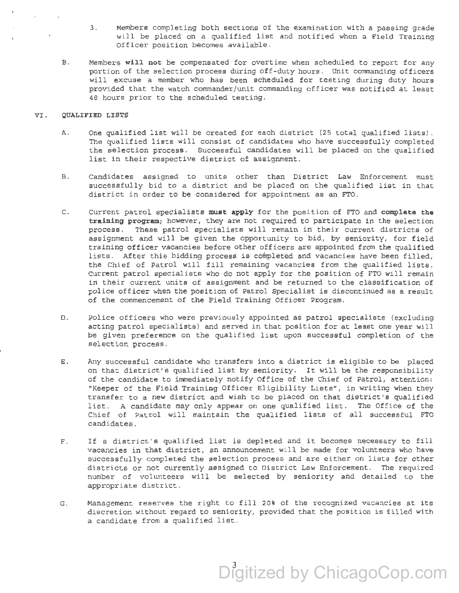- 3. Members completing both sections of the examination with a passing grade will be placed on a qualified list and notified when a Field Training Officer position becomes available.
- B. Members will not be compensated for overtime when scheduled to report for any portion of the selection process during off-duty hours. Unit commanding officers will excuse a member who has been scheduled for testing during duty hours provided that the watch commander/unit commanding officer was notified at least 48 hours prior to the scheduled testing.

#### VI. QUALIFIED LISTS

- A. One qualified list will be created for each district (25 total qualified lists). The qualified lists will consist of candidates who have successfully completed the selection process. Successful candidates will be placed on the qualified list in their respective district of assignment.
- B. Candidates assigned to units other than District Law Enforcement must successfully bid to a district and be placed on the qualified list in that district in order to be considered for appointment as an FTO.
- c. Current patrol specialists must apply for the position of FTO and complete the training program; however, they are not required to participate in the selection process. These patrol specialists will remain in their current districts of assignment and will be given the opportunity to bid, by seniority, for field training officer vacancies before other officers are appointed from the qualified lists. After this bidding process is completed and vacancies have been filled, the Chief of Patrol will fill remaining vacancies from the qualified lists. Current patrol specialists who do not apply for the position of FTO will remain in their current units of assignment and be returned to the classification of police officer when the position of Patrol Specialist is discontinued as a result of the commencement of the Field Training Officer Program.
- D. Police officers who were previously appointed as patrol specialists (excluding acting patrol specialists) and served in that position for at least one year will be given preference on the qualified list upon successful completion of the selection process.
- E. Any successful candidate who transfers into a district is eligible to be placed on that district's qualified list by seniority. It will be the responsibility of the candidate to immediately notify Office of the Chief of Patrol, attention: "Keeper of the Field Training Officer Eligibility Lists'', in writing when they transfer to a new district and wish to be placed on that district 's qualified list. A candidate may only appear on one qualified list. The Office of the Chief of Patrol will maintain the qualified lists of all successful FTO candidates.
- F. If a district's qualified list is depleted and it becomes necessary to fill vacancies in that district, an announcement will be made for volunteers who have successfully completed the selection process and are either on lists for other districts or not currently assigned to District Law Enforcement. The required number of volunteers will be selected by seniority and detailed to the appropriate district.
- G. Management reserves the right to fill 20% of the recognized vacancies at its discretion without regard to seniority, provided that the position is filled with a candidate from a qualified list .

Digitized by ChicagoCop.com